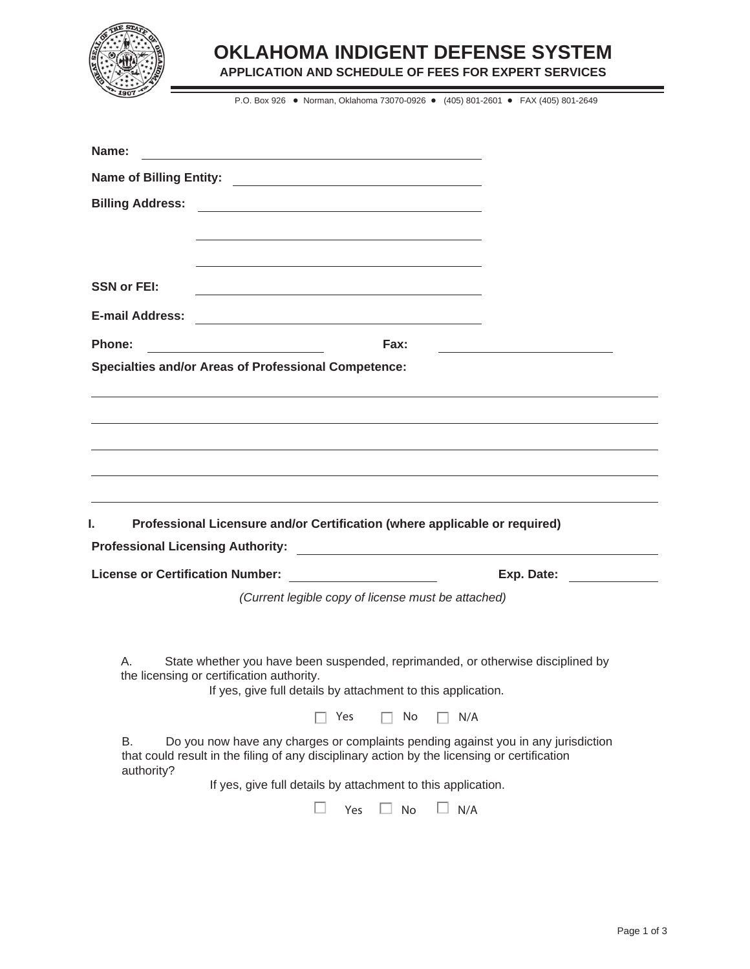

### **OKLAHOMA INDIGENT DEFENSE SYSTEM**

**APPLICATION AND SCHEDULE OF FEES FOR EXPERT SERVICES**

P.O. Box 926 · Norman, Oklahoma 73070-0926 · (405) 801-2601 · FAX (405) 801-2649

| Name:                                   | <u> 1989 - Johann Barbara, martxa alemaniar amerikan basar da a</u> |                                                                                                                                                                                   |                                                                                 |
|-----------------------------------------|---------------------------------------------------------------------|-----------------------------------------------------------------------------------------------------------------------------------------------------------------------------------|---------------------------------------------------------------------------------|
|                                         |                                                                     |                                                                                                                                                                                   |                                                                                 |
| <b>Billing Address:</b>                 |                                                                     |                                                                                                                                                                                   |                                                                                 |
|                                         |                                                                     |                                                                                                                                                                                   |                                                                                 |
|                                         |                                                                     |                                                                                                                                                                                   |                                                                                 |
| <b>SSN or FEI:</b>                      |                                                                     |                                                                                                                                                                                   |                                                                                 |
| <b>E-mail Address:</b>                  |                                                                     |                                                                                                                                                                                   |                                                                                 |
| Phone:                                  | <u> 1980 - Johann Barbara, martxa alemaniar a</u>                   | Fax:                                                                                                                                                                              | the control of the control of the control of the control of the control of      |
|                                         | <b>Specialties and/or Areas of Professional Competence:</b>         |                                                                                                                                                                                   |                                                                                 |
|                                         |                                                                     |                                                                                                                                                                                   |                                                                                 |
|                                         |                                                                     |                                                                                                                                                                                   |                                                                                 |
|                                         |                                                                     |                                                                                                                                                                                   |                                                                                 |
|                                         |                                                                     |                                                                                                                                                                                   |                                                                                 |
|                                         |                                                                     |                                                                                                                                                                                   |                                                                                 |
| ı.                                      |                                                                     | Professional Licensure and/or Certification (where applicable or required)                                                                                                        |                                                                                 |
|                                         |                                                                     |                                                                                                                                                                                   |                                                                                 |
| <b>License or Certification Number:</b> |                                                                     |                                                                                                                                                                                   | Exp. Date:                                                                      |
|                                         |                                                                     | (Current legible copy of license must be attached)                                                                                                                                |                                                                                 |
|                                         |                                                                     |                                                                                                                                                                                   |                                                                                 |
| A                                       |                                                                     |                                                                                                                                                                                   | State whether you have been suspended, reprimanded, or otherwise disciplined by |
|                                         |                                                                     |                                                                                                                                                                                   |                                                                                 |
|                                         | the licensing or certification authority.                           | If yes, give full details by attachment to this application.                                                                                                                      |                                                                                 |
|                                         |                                                                     | Yes<br>No<br>N/A                                                                                                                                                                  |                                                                                 |
| В.                                      |                                                                     | Do you now have any charges or complaints pending against you in any jurisdiction<br>that could result in the filing of any disciplinary action by the licensing or certification |                                                                                 |
| authority?                              |                                                                     | If yes, give full details by attachment to this application.                                                                                                                      |                                                                                 |
|                                         |                                                                     | <b>L. L.</b><br>No<br>N/A<br>Yes                                                                                                                                                  |                                                                                 |

۳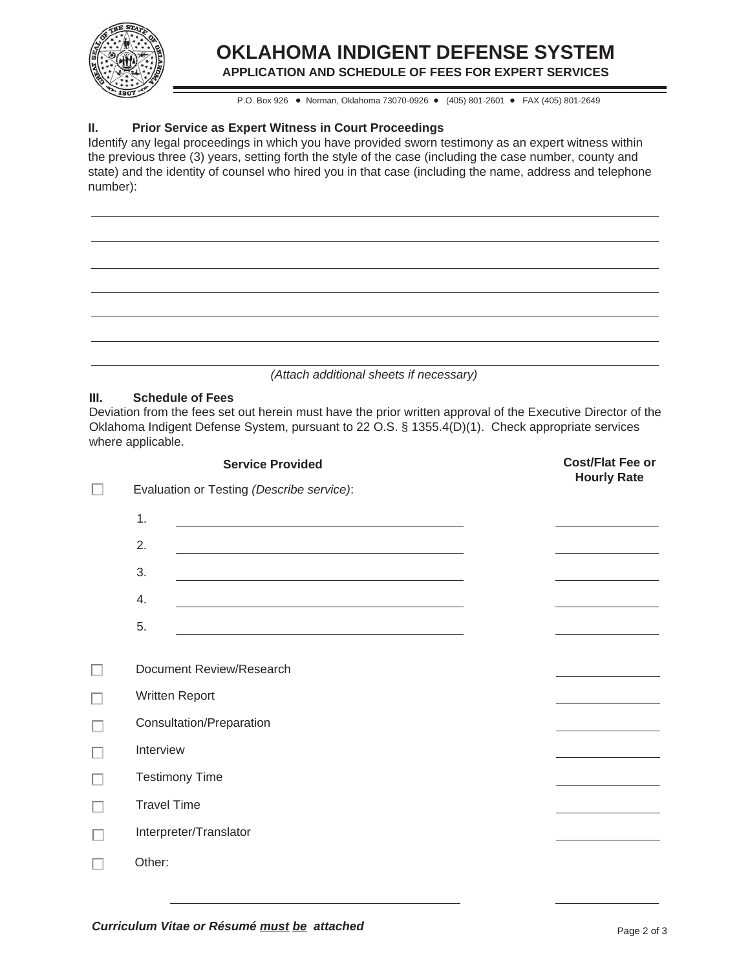

# **OKLAHOMA INDIGENT DEFENSE SYSTEM**

**APPLICATION AND SCHEDULE OF FEES FOR EXPERT SERVICES**

P.O. Box 926 · Norman, Oklahoma 73070-0926 · (405) 801-2601 · FAX (405) 801-2649

#### **II. Prior Service as Expert Witness in Court Proceedings**

Identify any legal proceedings in which you have provided sworn testimony as an expert witness within the previous three (3) years, setting forth the style of the case (including the case number, county and state) and the identity of counsel who hired you in that case (including the name, address and telephone number):

*(Attach additional sheets if necessary)*

#### **III. Schedule of Fees**

| Deviation from the fees set out herein must have the prior written approval of the Executive Director of the |  |  |  |  |  |
|--------------------------------------------------------------------------------------------------------------|--|--|--|--|--|
| Oklahoma Indigent Defense System, pursuant to 22 O.S. § 1355.4(D)(1). Check appropriate services             |  |  |  |  |  |
| where applicable.                                                                                            |  |  |  |  |  |

| <b>Service Provided</b>                                                                                                                                                                                                             | <b>Cost/Flat Fee or</b><br><b>Hourly Rate</b> |
|-------------------------------------------------------------------------------------------------------------------------------------------------------------------------------------------------------------------------------------|-----------------------------------------------|
| Evaluation or Testing (Describe service):                                                                                                                                                                                           |                                               |
| 1.<br><u> 1989 - Johann Barn, mars ann an t-Amhain Aonaich an t-Aonaich an t-Aonaich ann an t-Aonaich ann an t-Aonaich</u>                                                                                                          |                                               |
| 2.                                                                                                                                                                                                                                  |                                               |
| 3.                                                                                                                                                                                                                                  | the control of the control of the control of  |
| 4.<br>the control of the control of the control of the control of the control of the control of the control of the control of the control of the control of the control of the control of the control of the control of the control |                                               |
| 5.                                                                                                                                                                                                                                  |                                               |
| Document Review/Research                                                                                                                                                                                                            |                                               |
| Written Report                                                                                                                                                                                                                      |                                               |
| Consultation/Preparation                                                                                                                                                                                                            |                                               |
| Interview                                                                                                                                                                                                                           |                                               |
| <b>Testimony Time</b>                                                                                                                                                                                                               |                                               |
| <b>Travel Time</b>                                                                                                                                                                                                                  |                                               |
| Interpreter/Translator                                                                                                                                                                                                              |                                               |
| Other:                                                                                                                                                                                                                              |                                               |